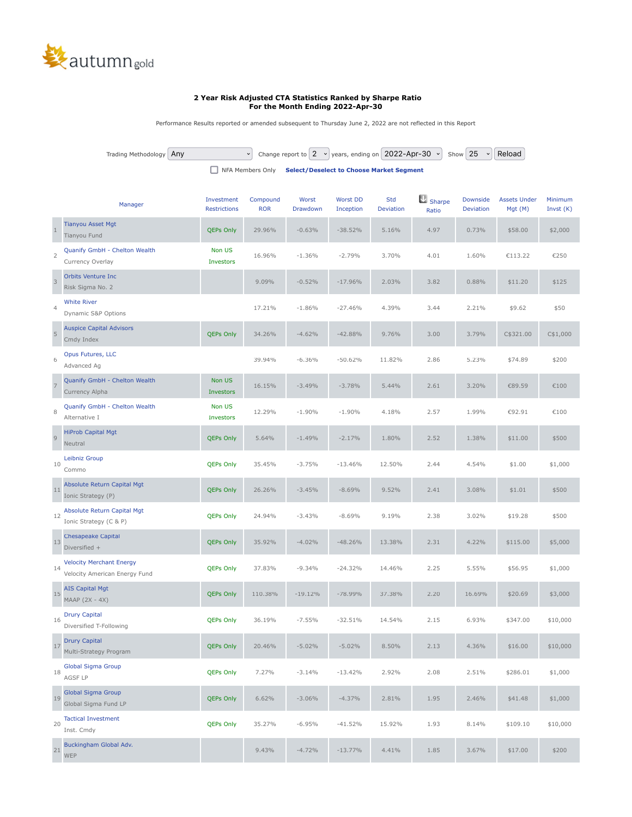

## **2 Year Risk Adjusted CTA Statistics Ranked by Sharpe Ratio For the Month Ending 2022-Apr-30**

Performance Results reported or amended subsequent to Thursday June 2, 2022 are not reflected in this Report

|    | Trading Methodology<br>Any                                          |                                   | $\checkmark$           | Change report to $\begin{vmatrix} 2 & v \end{vmatrix}$ years, ending on 2022-Apr-30 $\sim$ |                              |                  |                           | 25<br>Show                   | Reload                         |                        |
|----|---------------------------------------------------------------------|-----------------------------------|------------------------|--------------------------------------------------------------------------------------------|------------------------------|------------------|---------------------------|------------------------------|--------------------------------|------------------------|
|    | NFA Members Only<br><b>Select/Deselect to Choose Market Segment</b> |                                   |                        |                                                                                            |                              |                  |                           |                              |                                |                        |
|    | Manager                                                             | Investment<br><b>Restrictions</b> | Compound<br><b>ROR</b> | Worst<br>Drawdown                                                                          | <b>Worst DD</b><br>Inception | Std<br>Deviation | $\bigcup$ Sharpe<br>Ratio | Downside<br><b>Deviation</b> | <b>Assets Under</b><br>Mgt (M) | Minimum<br>Invst $(K)$ |
|    | <b>Tianyou Asset Mgt</b><br>Tianyou Fund                            | <b>QEPs Only</b>                  | 29.96%                 | $-0.63%$                                                                                   | $-38.52%$                    | 5.16%            | 4.97                      | 0.73%                        | \$58.00                        | \$2,000                |
| 2  | Quanify GmbH - Chelton Wealth<br>Currency Overlay                   | Non US<br>Investors               | 16.96%                 | $-1.36%$                                                                                   | $-2.79%$                     | 3.70%            | 4.01                      | 1.60%                        | €113.22                        | €250                   |
|    | <b>Orbits Venture Inc</b><br>Risk Sigma No. 2                       |                                   | 9.09%                  | $-0.52%$                                                                                   | $-17.96%$                    | 2.03%            | 3.82                      | 0.88%                        | \$11.20                        | \$125                  |
| 4  | <b>White River</b><br>Dynamic S&P Options                           |                                   | 17.21%                 | $-1.86%$                                                                                   | $-27.46%$                    | 4.39%            | 3.44                      | 2.21%                        | \$9.62                         | \$50                   |
| 5  | <b>Auspice Capital Advisors</b><br>Cmdy Index                       | <b>QEPs Only</b>                  | 34.26%                 | $-4.62%$                                                                                   | $-42.88%$                    | 9.76%            | 3.00                      | 3.79%                        | C\$321.00                      | C\$1,000               |
| 6  | Opus Futures, LLC<br>Advanced Ag                                    |                                   | 39.94%                 | $-6.36%$                                                                                   | $-50.62%$                    | 11.82%           | 2.86                      | 5.23%                        | \$74.89                        | \$200                  |
|    | Quanify GmbH - Chelton Wealth<br>Currency Alpha                     | Non US<br>Investors               | 16.15%                 | $-3.49%$                                                                                   | $-3.78%$                     | 5.44%            | 2.61                      | 3.20%                        | €89.59                         | €100                   |
| 8  | Quanify GmbH - Chelton Wealth<br>Alternative I                      | Non US<br>Investors               | 12.29%                 | $-1.90%$                                                                                   | $-1.90%$                     | 4.18%            | 2.57                      | 1.99%                        | €92.91                         | €100                   |
| 9  | <b>HiProb Capital Mgt</b><br>Neutral                                | <b>QEPs Only</b>                  | 5.64%                  | $-1.49%$                                                                                   | $-2.17%$                     | 1.80%            | 2.52                      | 1.38%                        | \$11.00                        | \$500                  |
| 10 | Leibniz Group<br>Commo                                              | <b>QEPs Only</b>                  | 35.45%                 | $-3.75%$                                                                                   | $-13.46%$                    | 12.50%           | 2.44                      | 4.54%                        | \$1.00                         | \$1,000                |
| 11 | Absolute Return Capital Mgt<br>Ionic Strategy (P)                   | <b>QEPs Only</b>                  | 26.26%                 | $-3.45%$                                                                                   | $-8.69%$                     | 9.52%            | 2.41                      | 3.08%                        | \$1.01                         | \$500                  |
| 12 | Absolute Return Capital Mgt<br>Ionic Strategy (C & P)               | <b>QEPs Only</b>                  | 24.94%                 | $-3.43%$                                                                                   | $-8.69%$                     | 9.19%            | 2.38                      | 3.02%                        | \$19.28                        | \$500                  |
| 13 | <b>Chesapeake Capital</b><br>Diversified +                          | QEPs Only                         | 35.92%                 | $-4.02%$                                                                                   | $-48.26%$                    | 13.38%           | 2.31                      | 4.22%                        | \$115.00                       | \$5,000                |
| 14 | <b>Velocity Merchant Energy</b><br>Velocity American Energy Fund    | <b>QEPs Only</b>                  | 37.83%                 | $-9.34%$                                                                                   | $-24.32%$                    | 14.46%           | 2.25                      | 5.55%                        | \$56.95                        | \$1,000                |
| 15 | <b>AIS Capital Mgt</b><br>MAAP $(2X - 4X)$                          | <b>QEPs Only</b>                  | 110.38%                | $-19.12%$                                                                                  | $-78.99%$                    | 37.38%           | 2.20                      | 16.69%                       | \$20.69                        | \$3,000                |
| 16 | <b>Drury Capital</b><br>Diversified T-Following                     | <b>QEPs Only</b>                  | 36.19%                 | $-7.55%$                                                                                   | $-32.51%$                    | 14.54%           | 2.15                      | 6.93%                        | \$347.00                       | \$10,000               |
| 17 | <b>Drury Capital</b><br>Multi-Strategy Program                      | <b>QEPs Only</b>                  | 20.46%                 | $-5.02%$                                                                                   | $-5.02%$                     | 8.50%            | 2.13                      | 4.36%                        | \$16.00                        | \$10,000               |
| 18 | Global Sigma Group<br>AGSF LP                                       | <b>QEPs Only</b>                  | 7.27%                  | $-3.14%$                                                                                   | $-13.42%$                    | 2.92%            | 2.08                      | 2.51%                        | \$286.01                       | \$1,000                |
| 19 | <b>Global Sigma Group</b><br>Global Sigma Fund LP                   | <b>QEPs Only</b>                  | 6.62%                  | $-3.06%$                                                                                   | $-4.37%$                     | 2.81%            | 1.95                      | 2.46%                        | \$41.48                        | \$1,000                |
| 20 | <b>Tactical Investment</b><br>Inst. Cmdy                            | <b>QEPs Only</b>                  | 35.27%                 | $-6.95%$                                                                                   | $-41.52%$                    | 15.92%           | 1.93                      | 8.14%                        | \$109.10                       | \$10,000               |
| 21 | Buckingham Global Adv.<br>WEP                                       |                                   | 9.43%                  | $-4.72%$                                                                                   | $-13.77%$                    | 4.41%            | 1.85                      | 3.67%                        | \$17.00                        | \$200                  |